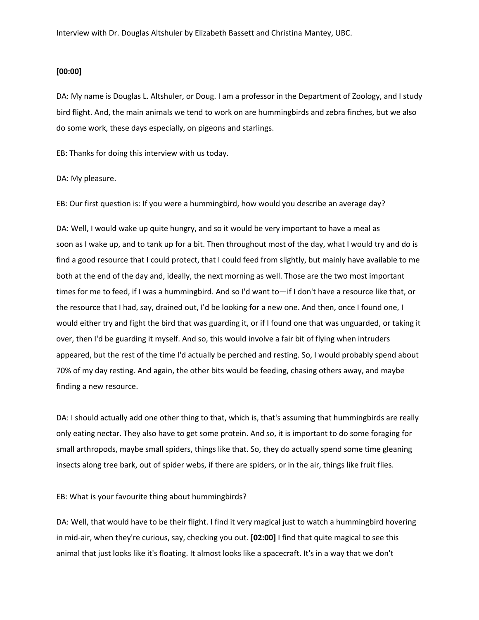## **[00:00]**

DA: My name is Douglas L. Altshuler, or Doug. I am a professor in the Department of Zoology, and I study bird flight. And, the main animals we tend to work on are hummingbirds and zebra finches, but we also do some work, these days especially, on pigeons and starlings.

EB: Thanks for doing this interview with us today.

## DA: My pleasure.

EB: Our first question is: If you were a hummingbird, how would you describe an average day?

DA: Well, I would wake up quite hungry, and so it would be very important to have a meal as soon as I wake up, and to tank up for a bit. Then throughout most of the day, what I would try and do is find a good resource that I could protect, that I could feed from slightly, but mainly have available to me both at the end of the day and, ideally, the next morning as well. Those are the two most important times for me to feed, if I was a hummingbird. And so I'd want to—if I don't have a resource like that, or the resource that I had, say, drained out, I'd be looking for a new one. And then, once I found one, I would either try and fight the bird that was guarding it, or if I found one that was unguarded, or taking it over, then I'd be guarding it myself. And so, this would involve a fair bit of flying when intruders appeared, but the rest of the time I'd actually be perched and resting. So, I would probably spend about 70% of my day resting. And again, the other bits would be feeding, chasing others away, and maybe finding a new resource.

DA: I should actually add one other thing to that, which is, that's assuming that hummingbirds are really only eating nectar. They also have to get some protein. And so, it is important to do some foraging for small arthropods, maybe small spiders, things like that. So, they do actually spend some time gleaning insects along tree bark, out of spider webs, if there are spiders, or in the air, things like fruit flies.

## EB: What is your favourite thing about hummingbirds?

DA: Well, that would have to be their flight. I find it very magical just to watch a hummingbird hovering in mid-air, when they're curious, say, checking you out. **[02:00]** I find that quite magical to see this animal that just looks like it's floating. It almost looks like a spacecraft. It's in a way that we don't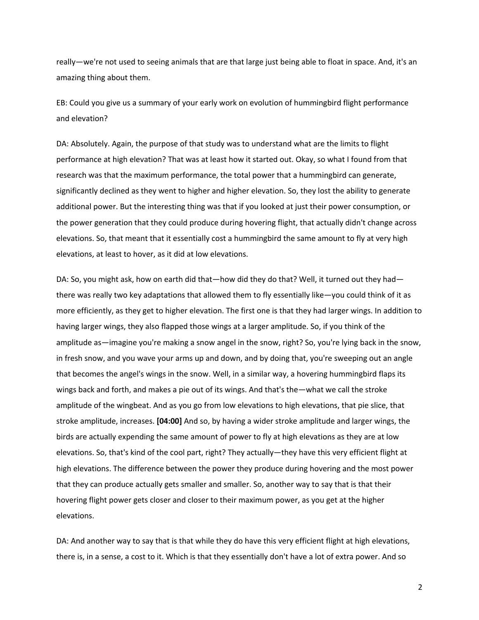really—we're not used to seeing animals that are that large just being able to float in space. And, it's an amazing thing about them.

EB: Could you give us a summary of your early work on evolution of hummingbird flight performance and elevation?

DA: Absolutely. Again, the purpose of that study was to understand what are the limits to flight performance at high elevation? That was at least how it started out. Okay, so what I found from that research was that the maximum performance, the total power that a hummingbird can generate, significantly declined as they went to higher and higher elevation. So, they lost the ability to generate additional power. But the interesting thing was that if you looked at just their power consumption, or the power generation that they could produce during hovering flight, that actually didn't change across elevations. So, that meant that it essentially cost a hummingbird the same amount to fly at very high elevations, at least to hover, as it did at low elevations.

DA: So, you might ask, how on earth did that—how did they do that? Well, it turned out they had there was really two key adaptations that allowed them to fly essentially like—you could think of it as more efficiently, as they get to higher elevation. The first one is that they had larger wings. In addition to having larger wings, they also flapped those wings at a larger amplitude. So, if you think of the amplitude as—imagine you're making a snow angel in the snow, right? So, you're lying back in the snow, in fresh snow, and you wave your arms up and down, and by doing that, you're sweeping out an angle that becomes the angel's wings in the snow. Well, in a similar way, a hovering hummingbird flaps its wings back and forth, and makes a pie out of its wings. And that's the—what we call the stroke amplitude of the wingbeat. And as you go from low elevations to high elevations, that pie slice, that stroke amplitude, increases. **[04:00]** And so, by having a wider stroke amplitude and larger wings, the birds are actually expending the same amount of power to fly at high elevations as they are at low elevations. So, that's kind of the cool part, right? They actually—they have this very efficient flight at high elevations. The difference between the power they produce during hovering and the most power that they can produce actually gets smaller and smaller. So, another way to say that is that their hovering flight power gets closer and closer to their maximum power, as you get at the higher elevations.

DA: And another way to say that is that while they do have this very efficient flight at high elevations, there is, in a sense, a cost to it. Which is that they essentially don't have a lot of extra power. And so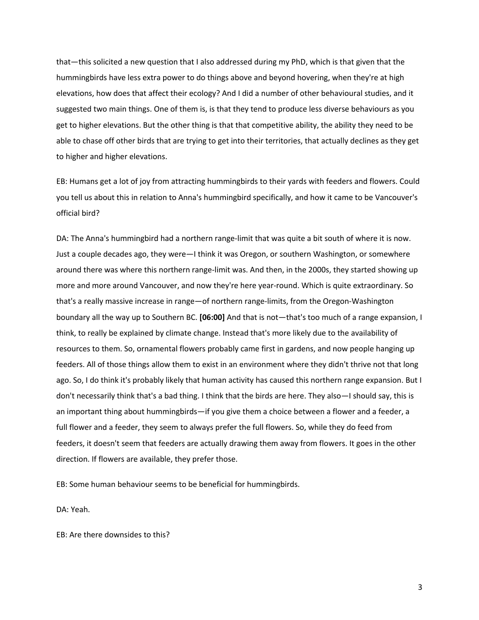that—this solicited a new question that I also addressed during my PhD, which is that given that the hummingbirds have less extra power to do things above and beyond hovering, when they're at high elevations, how does that affect their ecology? And I did a number of other behavioural studies, and it suggested two main things. One of them is, is that they tend to produce less diverse behaviours as you get to higher elevations. But the other thing is that that competitive ability, the ability they need to be able to chase off other birds that are trying to get into their territories, that actually declines as they get to higher and higher elevations.

EB: Humans get a lot of joy from attracting hummingbirds to their yards with feeders and flowers. Could you tell us about this in relation to Anna's hummingbird specifically, and how it came to be Vancouver's official bird?

DA: The Anna's hummingbird had a northern range-limit that was quite a bit south of where it is now. Just a couple decades ago, they were—I think it was Oregon, or southern Washington, or somewhere around there was where this northern range-limit was. And then, in the 2000s, they started showing up more and more around Vancouver, and now they're here year-round. Which is quite extraordinary. So that's a really massive increase in range—of northern range-limits, from the Oregon-Washington boundary all the way up to Southern BC. **[06:00]** And that is not—that's too much of a range expansion, I think, to really be explained by climate change. Instead that's more likely due to the availability of resources to them. So, ornamental flowers probably came first in gardens, and now people hanging up feeders. All of those things allow them to exist in an environment where they didn't thrive not that long ago. So, I do think it's probably likely that human activity has caused this northern range expansion. But I don't necessarily think that's a bad thing. I think that the birds are here. They also—I should say, this is an important thing about hummingbirds—if you give them a choice between a flower and a feeder, a full flower and a feeder, they seem to always prefer the full flowers. So, while they do feed from feeders, it doesn't seem that feeders are actually drawing them away from flowers. It goes in the other direction. If flowers are available, they prefer those.

EB: Some human behaviour seems to be beneficial for hummingbirds.

DA: Yeah.

EB: Are there downsides to this?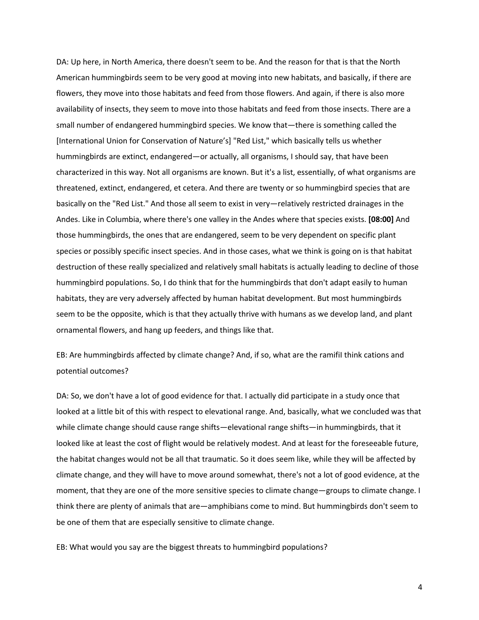DA: Up here, in North America, there doesn't seem to be. And the reason for that is that the North American hummingbirds seem to be very good at moving into new habitats, and basically, if there are flowers, they move into those habitats and feed from those flowers. And again, if there is also more availability of insects, they seem to move into those habitats and feed from those insects. There are a small number of endangered hummingbird species. We know that—there is something called the [International Union for Conservation of Nature's] "Red List," which basically tells us whether hummingbirds are extinct, endangered—or actually, all organisms, I should say, that have been characterized in this way. Not all organisms are known. But it's a list, essentially, of what organisms are threatened, extinct, endangered, et cetera. And there are twenty or so hummingbird species that are basically on the "Red List." And those all seem to exist in very—relatively restricted drainages in the Andes. Like in Columbia, where there's one valley in the Andes where that species exists. **[08:00]** And those hummingbirds, the ones that are endangered, seem to be very dependent on specific plant species or possibly specific insect species. And in those cases, what we think is going on is that habitat destruction of these really specialized and relatively small habitats is actually leading to decline of those hummingbird populations. So, I do think that for the hummingbirds that don't adapt easily to human habitats, they are very adversely affected by human habitat development. But most hummingbirds seem to be the opposite, which is that they actually thrive with humans as we develop land, and plant ornamental flowers, and hang up feeders, and things like that.

EB: Are hummingbirds affected by climate change? And, if so, what are the ramifiI think cations and potential outcomes?

DA: So, we don't have a lot of good evidence for that. I actually did participate in a study once that looked at a little bit of this with respect to elevational range. And, basically, what we concluded was that while climate change should cause range shifts—elevational range shifts—in hummingbirds, that it looked like at least the cost of flight would be relatively modest. And at least for the foreseeable future, the habitat changes would not be all that traumatic. So it does seem like, while they will be affected by climate change, and they will have to move around somewhat, there's not a lot of good evidence, at the moment, that they are one of the more sensitive species to climate change—groups to climate change. I think there are plenty of animals that are—amphibians come to mind. But hummingbirds don't seem to be one of them that are especially sensitive to climate change.

EB: What would you say are the biggest threats to hummingbird populations?

4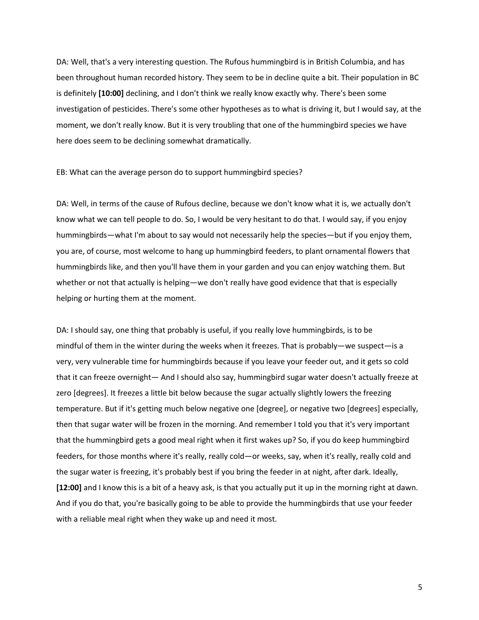DA: Well, that's a very interesting question. The Rufous hummingbird is in British Columbia, and has been throughout human recorded history. They seem to be in decline quite a bit. Their population in BC is definitely **[10:00]** declining, and I don't think we really know exactly why. There's been some investigation of pesticides. There's some other hypotheses as to what is driving it, but I would say, at the moment, we don't really know. But it is very troubling that one of the hummingbird species we have here does seem to be declining somewhat dramatically.

EB: What can the average person do to support hummingbird species?

DA: Well, in terms of the cause of Rufous decline, because we don't know what it is, we actually don't know what we can tell people to do. So, I would be very hesitant to do that. I would say, if you enjoy hummingbirds—what I'm about to say would not necessarily help the species—but if you enjoy them, you are, of course, most welcome to hang up hummingbird feeders, to plant ornamental flowers that hummingbirds like, and then you'll have them in your garden and you can enjoy watching them. But whether or not that actually is helping—we don't really have good evidence that that is especially helping or hurting them at the moment.

DA: I should say, one thing that probably is useful, if you really love hummingbirds, is to be mindful of them in the winter during the weeks when it freezes. That is probably—we suspect—is a very, very vulnerable time for hummingbirds because if you leave your feeder out, and it gets so cold that it can freeze overnight— And I should also say, hummingbird sugar water doesn't actually freeze at zero [degrees]. It freezes a little bit below because the sugar actually slightly lowers the freezing temperature. But if it's getting much below negative one [degree], or negative two [degrees] especially, then that sugar water will be frozen in the morning. And remember I told you that it's very important that the hummingbird gets a good meal right when it first wakes up? So, if you do keep hummingbird feeders, for those months where it's really, really cold—or weeks, say, when it's really, really cold and the sugar water is freezing, it's probably best if you bring the feeder in at night, after dark. Ideally, **[12:00]** and I know this is a bit of a heavy ask, is that you actually put it up in the morning right at dawn. And if you do that, you're basically going to be able to provide the hummingbirds that use your feeder with a reliable meal right when they wake up and need it most.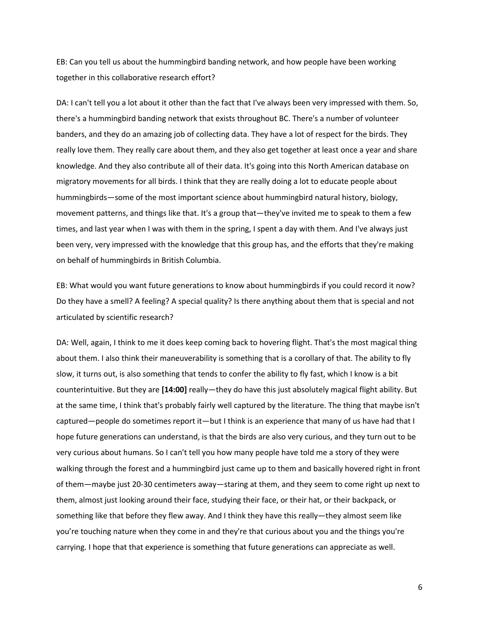EB: Can you tell us about the hummingbird banding network, and how people have been working together in this collaborative research effort?

DA: I can't tell you a lot about it other than the fact that I've always been very impressed with them. So, there's a hummingbird banding network that exists throughout BC. There's a number of volunteer banders, and they do an amazing job of collecting data. They have a lot of respect for the birds. They really love them. They really care about them, and they also get together at least once a year and share knowledge. And they also contribute all of their data. It's going into this North American database on migratory movements for all birds. I think that they are really doing a lot to educate people about hummingbirds—some of the most important science about hummingbird natural history, biology, movement patterns, and things like that. It's a group that—they've invited me to speak to them a few times, and last year when I was with them in the spring, I spent a day with them. And I've always just been very, very impressed with the knowledge that this group has, and the efforts that they're making on behalf of hummingbirds in British Columbia.

EB: What would you want future generations to know about hummingbirds if you could record it now? Do they have a smell? A feeling? A special quality? Is there anything about them that is special and not articulated by scientific research?

DA: Well, again, I think to me it does keep coming back to hovering flight. That's the most magical thing about them. I also think their maneuverability is something that is a corollary of that. The ability to fly slow, it turns out, is also something that tends to confer the ability to fly fast, which I know is a bit counterintuitive. But they are **[14:00]** really—they do have this just absolutely magical flight ability. But at the same time, I think that's probably fairly well captured by the literature. The thing that maybe isn't captured—people do sometimes report it—but I think is an experience that many of us have had that I hope future generations can understand, is that the birds are also very curious, and they turn out to be very curious about humans. So I can't tell you how many people have told me a story of they were walking through the forest and a hummingbird just came up to them and basically hovered right in front of them—maybe just 20-30 centimeters away—staring at them, and they seem to come right up next to them, almost just looking around their face, studying their face, or their hat, or their backpack, or something like that before they flew away. And I think they have this really—they almost seem like you're touching nature when they come in and they're that curious about you and the things you're carrying. I hope that that experience is something that future generations can appreciate as well.